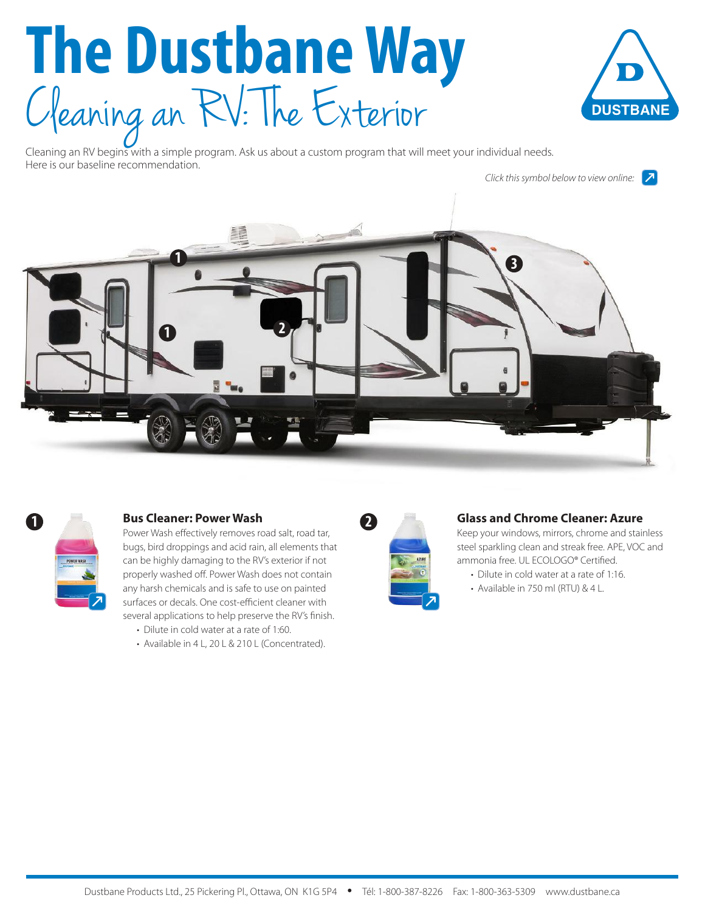# **The Dustbane Way** Cleaning an RV: The Exterior



Cleaning an RV begins with a simple program. Ask us about a custom program that will meet your individual needs. Here is our baseline recommendation.

*Click this symbol below to view online:* $|\mathcal{F}|$ 





## **1 Bus Cleaner: Power Wash**

Power Wash effectively removes road salt, road tar, bugs, bird droppings and acid rain, all elements that can be highly damaging to the RV's exterior if not properly washed off. Power Wash does not contain any harsh chemicals and is safe to use on painted surfaces or decals. One cost-efficient cleaner with several applications to help preserve the RV's finish.

- Dilute in cold water at a rate of 1:60.
- Available in 4 L, 20 L & 210 L (Concentrated).

| AZURE<br>I |
|------------|
|            |

#### **Glass and Chrome Cleaner: Azure**

Keep your windows, mirrors, chrome and stainless steel sparkling clean and streak free. APE, VOC and ammonia free. UL ECOLOGO® Certified.

- Dilute in cold water at a rate of 1:16.
- Available in 750 ml (RTU) & 4 L.